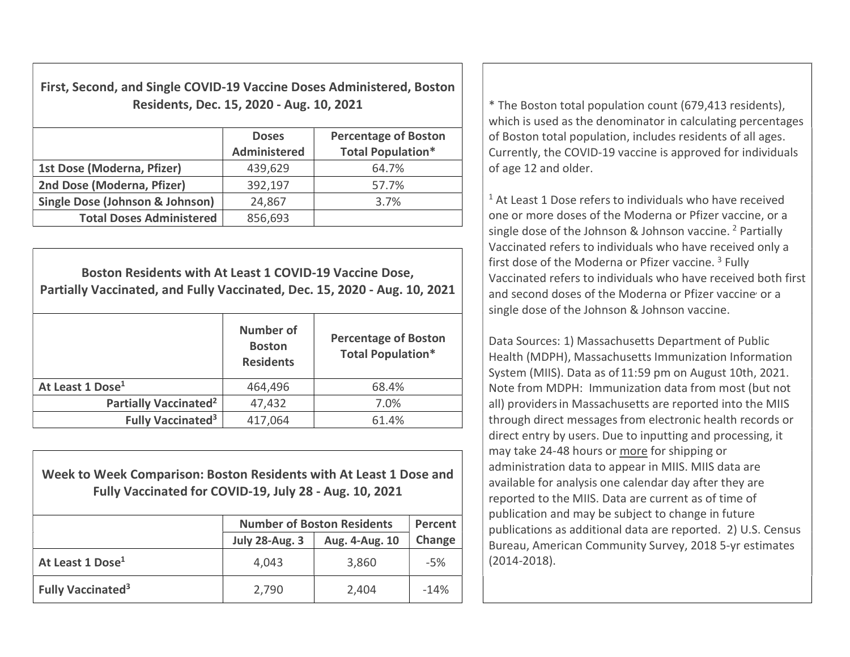First, Second, and Single COVID-19 Vaccine Doses Administered, Boston Residents, Dec. 15, 2020 - Aug. 10, 2021  $\vert$  \* The Boston total population count (679,413 residents),

|                                 | <b>Doses</b><br><b>Administered</b> | <b>Percentage of Boston</b><br><b>Total Population*</b> |
|---------------------------------|-------------------------------------|---------------------------------------------------------|
| 1st Dose (Moderna, Pfizer)      | 439,629                             | 64.7%                                                   |
| 2nd Dose (Moderna, Pfizer)      | 392,197                             | 57.7%                                                   |
| Single Dose (Johnson & Johnson) | 24,867                              | 3.7%                                                    |
| <b>Total Doses Administered</b> | 856,693                             |                                                         |

Boston Residents with At Least 1 COVID-19 Vaccine Dose, Partially Vaccinated, and Fully Vaccinated, Dec. 15, 2020 - Aug. 10, 2021

|                                     | <b>Number of</b><br><b>Boston</b><br><b>Residents</b> | <b>Percentage of Boston</b><br><b>Total Population*</b> |
|-------------------------------------|-------------------------------------------------------|---------------------------------------------------------|
| At Least 1 Dose <sup>1</sup>        | 464,496                                               | 68.4%                                                   |
| Partially Vaccinated <sup>2</sup>   | 47,432                                                | 7.0%                                                    |
| <b>Fully Vaccinated<sup>3</sup></b> | 417,064                                               | 61.4%                                                   |

Week to Week Comparison: Boston Residents with At Least 1 Dose and Fully Vaccinated for COVID-19, July 28 - Aug. 10, 2021

|                                     | <b>Number of Boston Residents</b> | Percent        |        |
|-------------------------------------|-----------------------------------|----------------|--------|
|                                     | <b>July 28-Aug. 3</b>             | Aug. 4-Aug. 10 | Change |
| At Least 1 Dose <sup>1</sup>        | 4,043                             | 3,860          | $-5%$  |
| <b>Fully Vaccinated<sup>3</sup></b> | 2,790                             | 2,404          | $-14%$ |

which is used as the denominator in calculating percentages of Boston total population, includes residents of all ages. Currently, the COVID-19 vaccine is approved for individuals of age 12 and older.

<sup>1</sup> At Least 1 Dose refers to individuals who have received one or more doses of the Moderna or Pfizer vaccine, or a single dose of the Johnson & Johnson vaccine. <sup>2</sup> Partially Vaccinated refers to individuals who have received only a first dose of the Moderna or Pfizer vaccine.<sup>3</sup> Fully Vaccinated refers to individuals who have received both first and second doses of the Moderna or Pfizer vaccine or a single dose of the Johnson & Johnson vaccine.

Data Sources: 1) Massachusetts Department of Public Health (MDPH), Massachusetts Immunization Information System (MIIS). Data as of 11:59 pm on August 10th, 2021. Note from MDPH: Immunization data from most (but not all) providersin Massachusetts are reported into the MIIS through direct messages from electronic health records or direct entry by users. Due to inputting and processing, it may take 24-48 hours or more for shipping or administration data to appear in MIIS. MIIS data are available for analysis one calendar day after they are reported to the MIIS. Data are current as of time of publication and may be subject to change in future publications as additional data are reported. 2) U.S. Census Bureau, American Community Survey, 2018 5-yr estimates (2014-2018).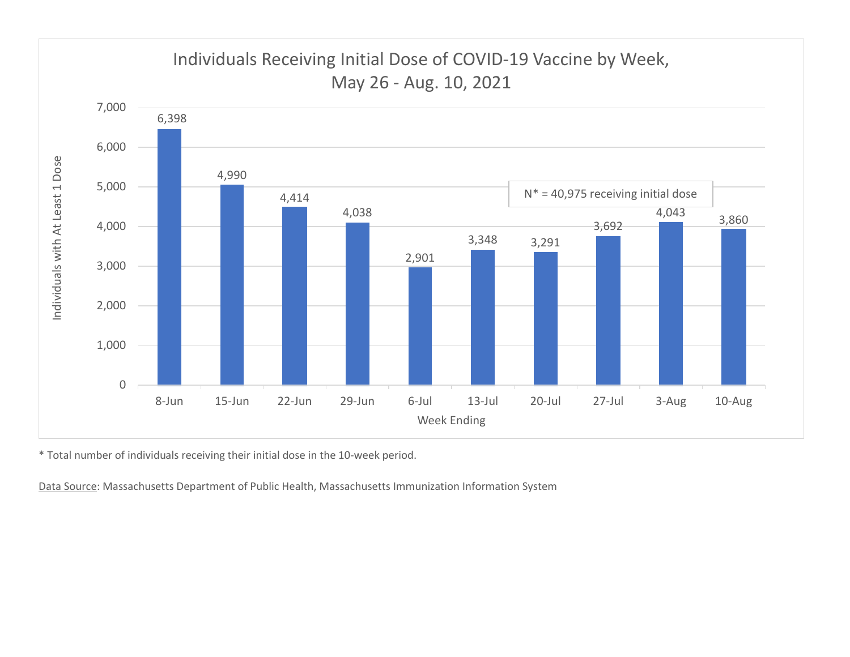

\* Total number of individuals receiving their initial dose in the 10-week period.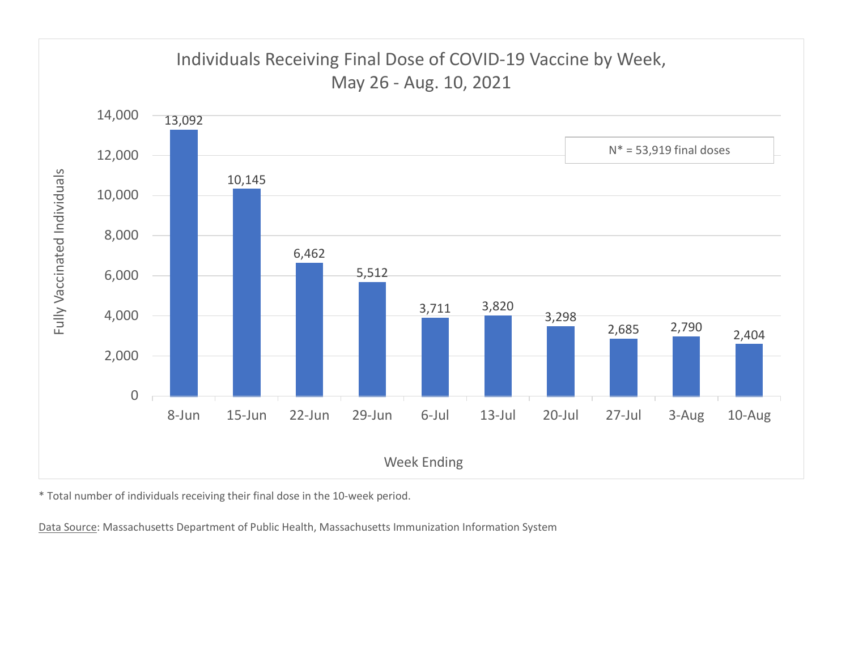

\* Total number of individuals receiving their final dose in the 10-week period.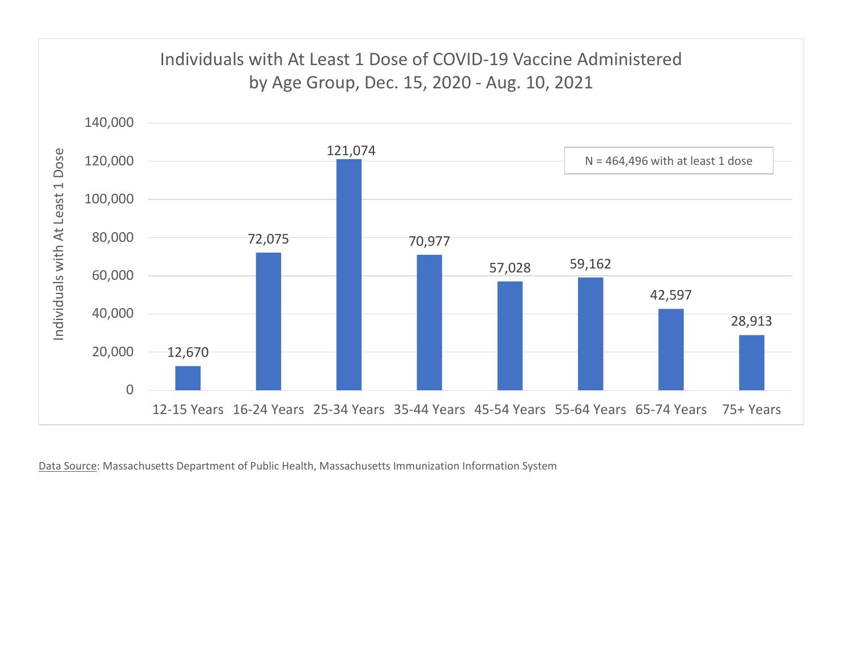

Data Source: Massachusetts Department of Public Health, Massachusetts Immunization Information System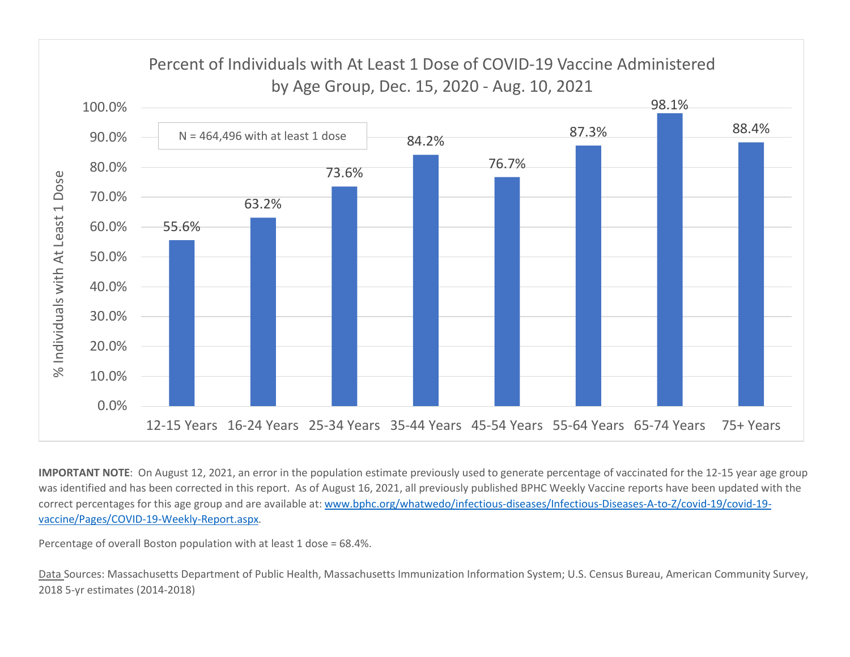

IMPORTANT NOTE: On August 12, 2021, an error in the population estimate previously used to generate percentage of vaccinated for the 12-15 year age group was identified and has been corrected in this report. As of August 16, 2021, all previously published BPHC Weekly Vaccine reports have been updated with the correct percentages for this age group and are available at: www.bphc.org/whatwedo/infectious-diseases/Infectious-Diseases-A-to-Z/covid-19/covid-19vaccine/Pages/COVID-19-Weekly-Report.aspx.

Percentage of overall Boston population with at least 1 dose = 68.4%.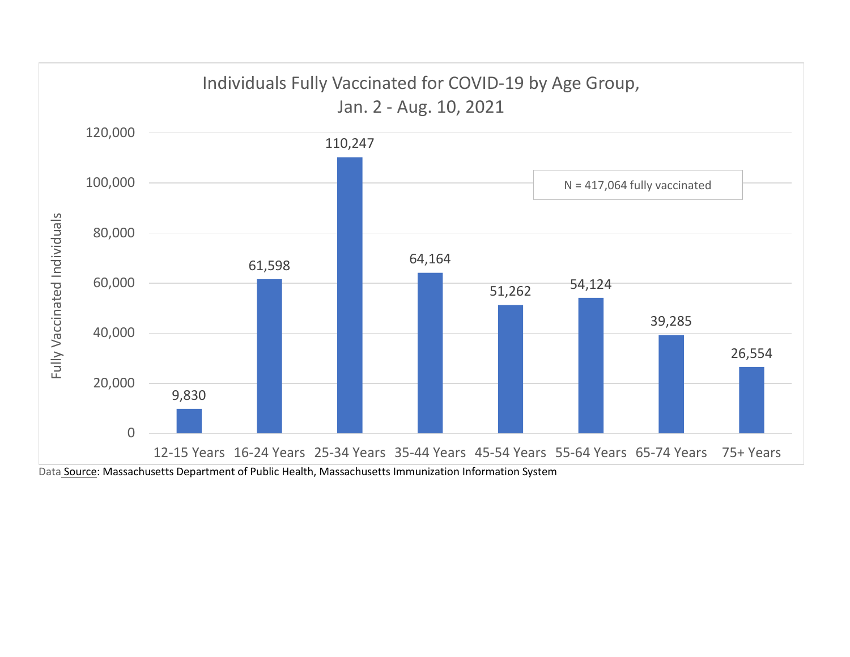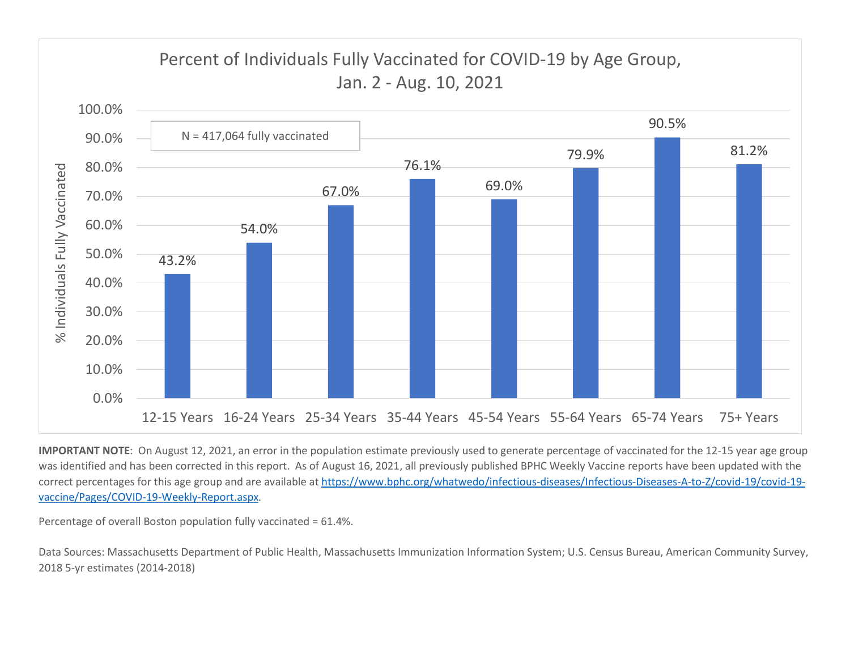

IMPORTANT NOTE: On August 12, 2021, an error in the population estimate previously used to generate percentage of vaccinated for the 12-15 year age group was identified and has been corrected in this report. As of August 16, 2021, all previously published BPHC Weekly Vaccine reports have been updated with the correct percentages for this age group and are available at https://www.bphc.org/whatwedo/infectious-diseases/Infectious-Diseases-A-to-Z/covid-19/covid-19 vaccine/Pages/COVID-19-Weekly-Report.aspx.

Percentage of overall Boston population fully vaccinated = 61.4%.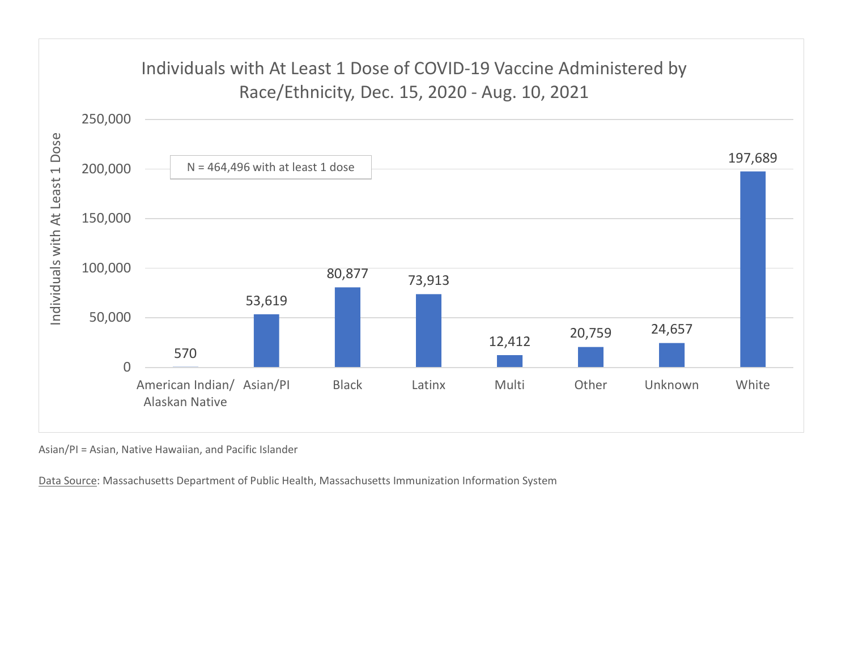

Asian/PI = Asian, Native Hawaiian, and Pacific Islander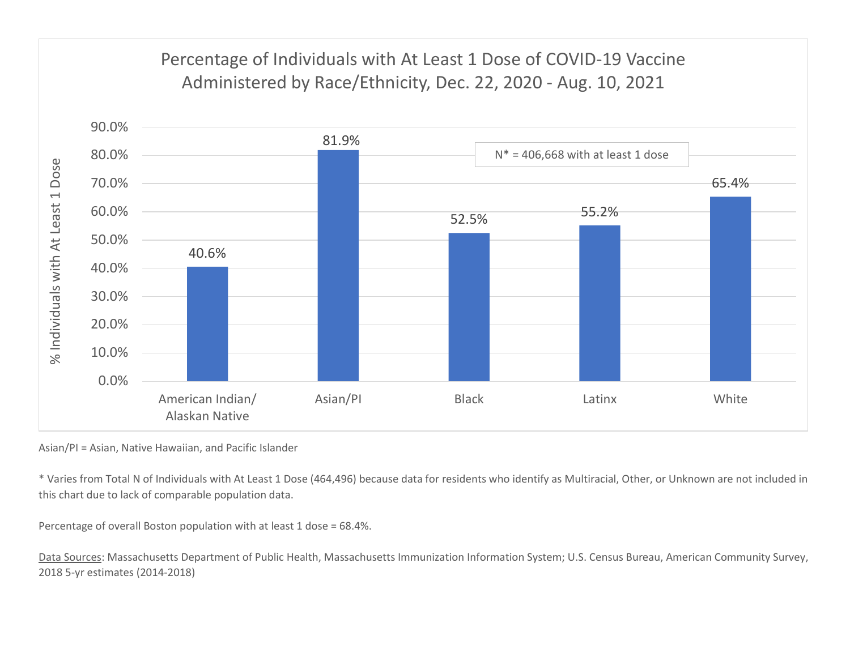

Asian/PI = Asian, Native Hawaiian, and Pacific Islander

\* Varies from Total N of Individuals with At Least 1 Dose (464,496) because data for residents who identify as Multiracial, Other, or Unknown are not included in this chart due to lack of comparable population data.

Percentage of overall Boston population with at least 1 dose = 68.4%.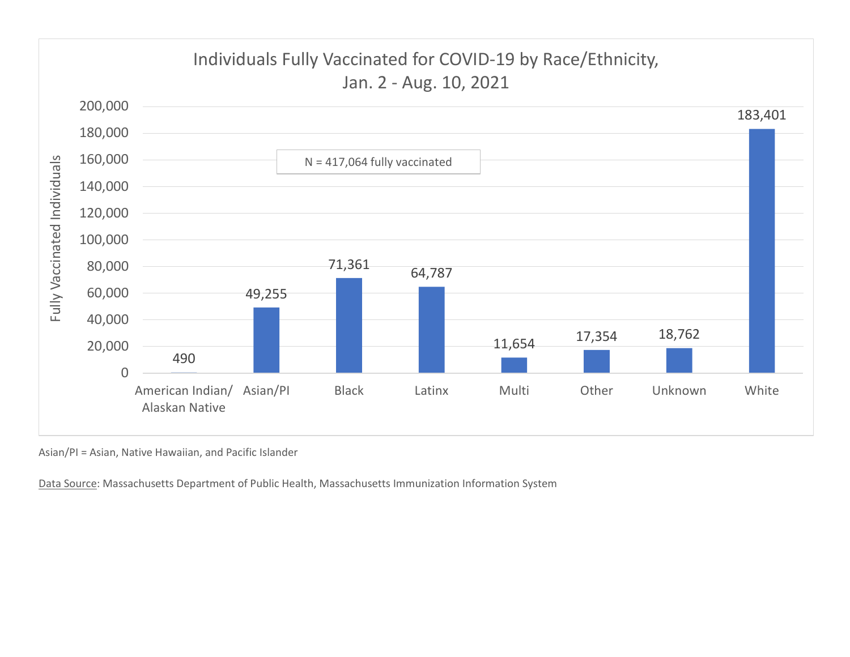

Asian/PI = Asian, Native Hawaiian, and Pacific Islander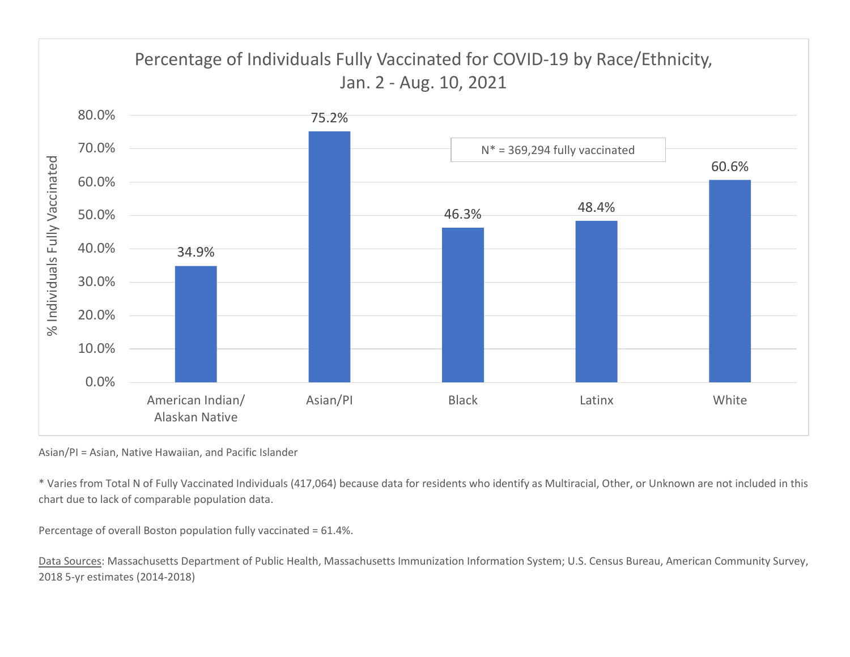

Asian/PI = Asian, Native Hawaiian, and Pacific Islander

\* Varies from Total N of Fully Vaccinated Individuals (417,064) because data for residents who identify as Multiracial, Other, or Unknown are not included in this chart due to lack of comparable population data.

Percentage of overall Boston population fully vaccinated = 61.4%.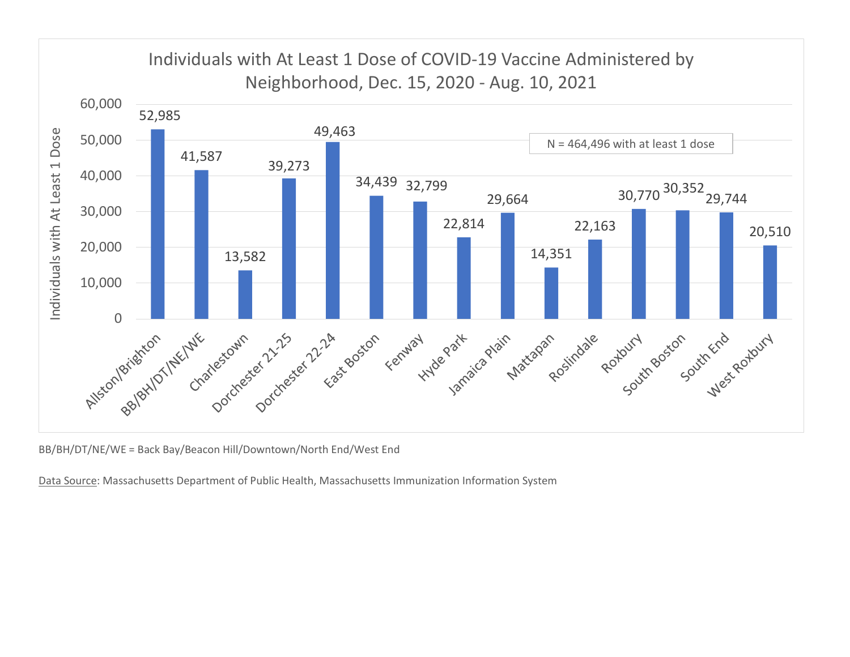

BB/BH/DT/NE/WE = Back Bay/Beacon Hill/Downtown/North End/West End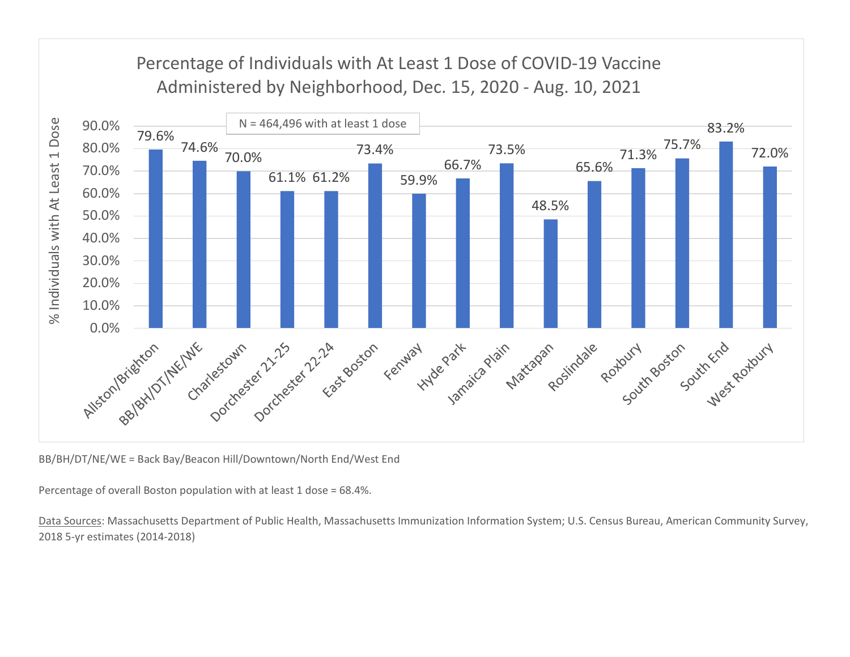

BB/BH/DT/NE/WE = Back Bay/Beacon Hill/Downtown/North End/West End

Percentage of overall Boston population with at least 1 dose = 68.4%.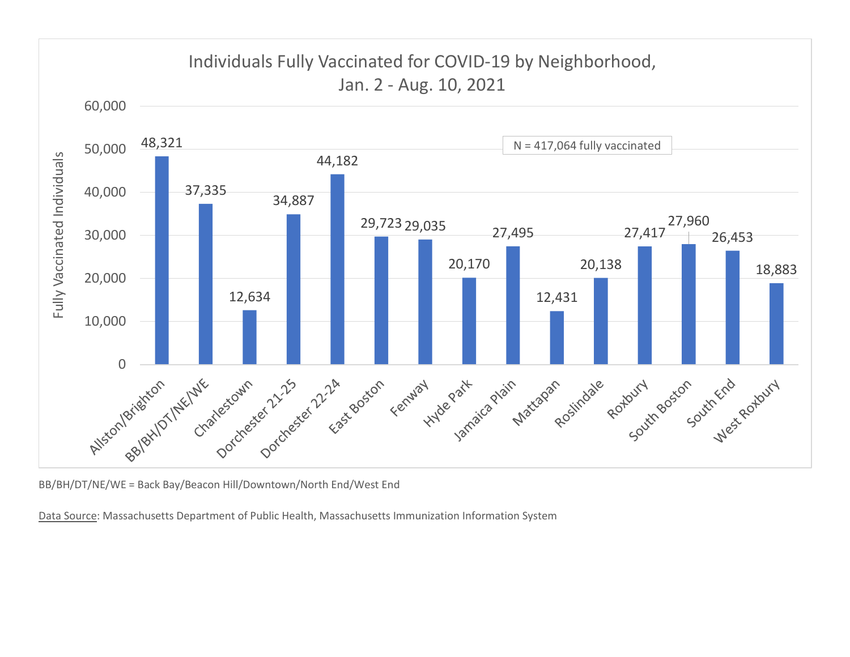

BB/BH/DT/NE/WE = Back Bay/Beacon Hill/Downtown/North End/West End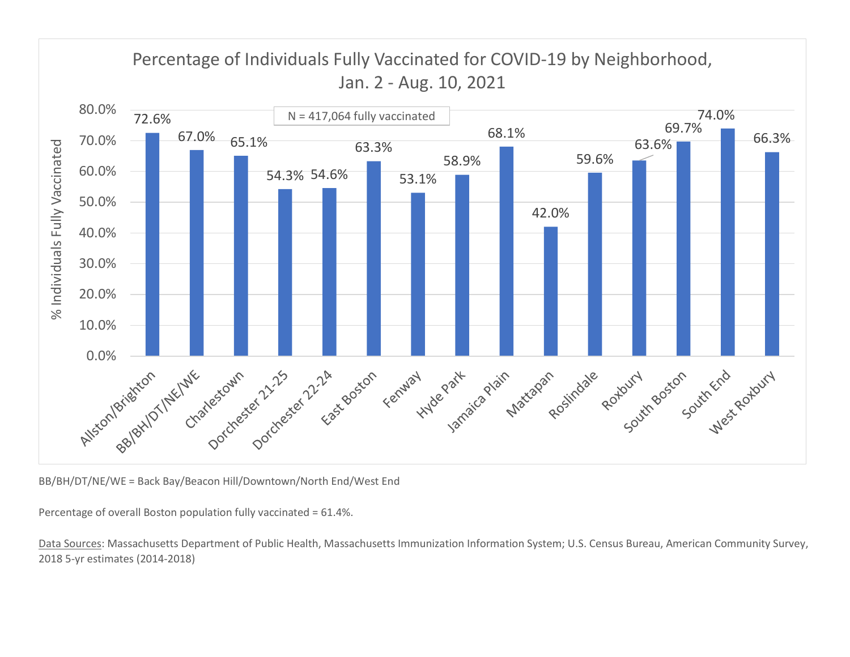

BB/BH/DT/NE/WE = Back Bay/Beacon Hill/Downtown/North End/West End

Percentage of overall Boston population fully vaccinated = 61.4%.